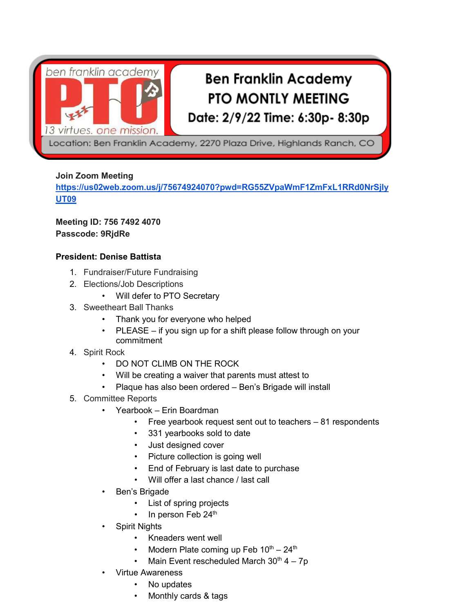

# **Ben Franklin Academy PTO MONTLY MEETING** Date: 2/9/22 Time: 6:30p- 8:30p

Location: Ben Franklin Academy, 2270 Plaza Drive, Highlands Ranch, CO

## **Join Zoom Meeting**

**[https://us02web.zoom.us/j/75674924070?pwd=RG55ZVpaWmF1ZmFxL1RRd0NrSjly](https://us02web.zoom.us/j/75674924070?pwd=RG55ZVpaWmF1ZmFxL1RRd0NrSjlyUT09) [UT09](https://us02web.zoom.us/j/75674924070?pwd=RG55ZVpaWmF1ZmFxL1RRd0NrSjlyUT09)**

**Meeting ID: 756 7492 4070 Passcode: 9RjdRe**

## **President: Denise Battista**

- 1. Fundraiser/Future Fundraising
- 2. Elections/Job Descriptions
	- Will defer to PTO Secretary
- 3. Sweetheart Ball Thanks
	- Thank you for everyone who helped
	- PLEASE if you sign up for a shift please follow through on your commitment
- 4. Spirit Rock
	- DO NOT CLIMB ON THE ROCK
	- Will be creating a waiver that parents must attest to
	- Plaque has also been ordered Ben's Brigade will install
- 5. Committee Reports
	- Yearbook Erin Boardman
		- Free yearbook request sent out to teachers 81 respondents
		- 331 yearbooks sold to date
		- Just designed cover
		- Picture collection is going well
		- End of February is last date to purchase
		- Will offer a last chance / last call
	- Ben's Brigade
		- List of spring projects
		- In person Feb 24<sup>th</sup>
	- **Spirit Nights** 
		- Kneaders went well
		- Modern Plate coming up Feb  $10^{th} 24^{th}$
		- Main Event rescheduled March  $30<sup>th</sup>$  4 7p
	- Virtue Awareness
		- No updates
		- Monthly cards & tags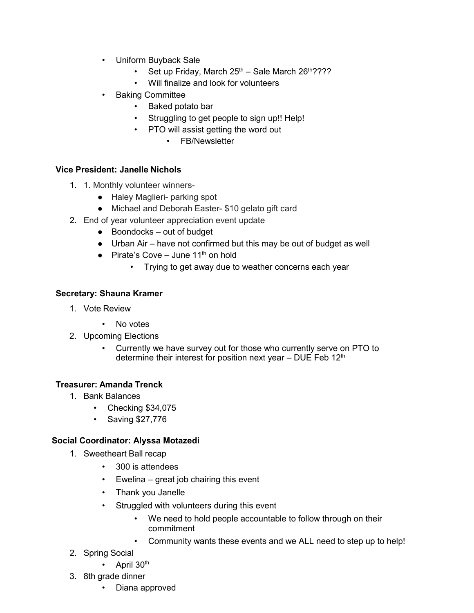- Uniform Buyback Sale
	- Set up Friday, March  $25<sup>th</sup>$  Sale March  $26<sup>th</sup>$ ????
	- Will finalize and look for volunteers
- Baking Committee
	- Baked potato bar
	- Struggling to get people to sign up!! Help!
	- PTO will assist getting the word out
		- FB/Newsletter

#### **Vice President: Janelle Nichols**

- 1. 1. Monthly volunteer winners-
	- Haley Maglieri- parking spot
	- Michael and Deborah Easter- \$10 gelato gift card
- 2. End of year volunteer appreciation event update
	- Boondocks out of budget
	- Urban Air have not confirmed but this may be out of budget as well
	- Pirate's Cove June  $11<sup>th</sup>$  on hold
		- Trying to get away due to weather concerns each year

### **Secretary: Shauna Kramer**

- 1. Vote Review
	- No votes
- 2. Upcoming Elections
	- Currently we have survey out for those who currently serve on PTO to determine their interest for position next year  $-$  DUE Feb 12<sup>th</sup>

### **Treasurer: Amanda Trenck**

- 1. Bank Balances
	- Checking \$34,075
	- Saving \$27,776

### **Social Coordinator: Alyssa Motazedi**

- 1. Sweetheart Ball recap
	- 300 is attendees
	- Ewelina great job chairing this event
	- Thank you Janelle
	- Struggled with volunteers during this event
		- We need to hold people accountable to follow through on their commitment
		- Community wants these events and we ALL need to step up to help!
- 2. Spring Social
	- April  $30<sup>th</sup>$
- 3. 8th grade dinner
	- Diana approved